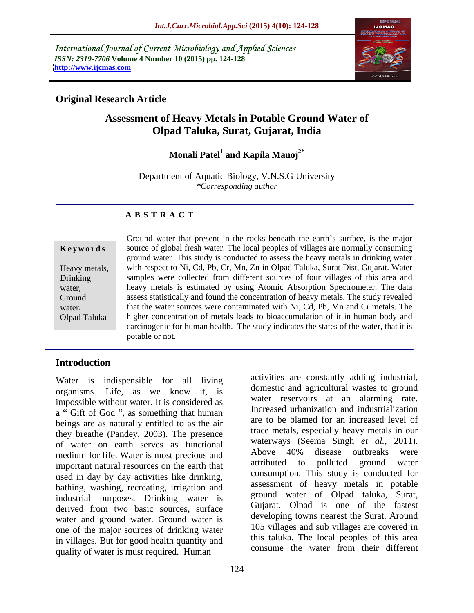International Journal of Current Microbiology and Applied Sciences *ISSN: 2319-7706* **Volume 4 Number 10 (2015) pp. 124-128 <http://www.ijcmas.com>**



### **Original Research Article**

# **Assessment of Heavy Metals in Potable Ground Water of Olpad Taluka, Surat, Gujarat, India**

### Monali Patel<sup>1</sup> and Kapila Manoj<sup>2\*</sup> and Kapila Manoj<sup>2\*</sup>

Department of Aquatic Biology, V.N.S.G University *\*Corresponding author*

### **A B S T R A C T**

Olpad Taluka

Ground water that present in the rocks beneath the earth's surface, is the major source of global fresh water. The local peoples of villages are normally consuming **Ke ywo rds** ground water. This study is conducted to assess the heavy metals in drinking water Heavy metals, with respect to Ni, Cd, Pb, Cr, Mn, Zn in Olpad Taluka, Surat Dist, Gujarat. Water samples were collected from different sources of four villages of this area and Drinking heavy metals is estimated by using Atomic Absorption Spectrometer. The data water, assess statistically and found the concentration of heavy metals. The study revealed Ground water, that the water sources were contaminated with Ni, Cd, Pb, Mn and Cr metals. The higher concentration of metals leads to bioaccumulation of it in human body and carcinogenic for human health. The study indicates the states of the water, that it is potable or not.

# **Introduction**

Water is indispensible for all living organisms. Life, as we know it, is impossible without water. It is considered as a "Gift of God", as something that human beings are as naturally entitled to as the air they breathe (Pandey, 2003). The presence of water on earth serves as functional waterways (Seema Singh *et al.*, 2011).<br>
Above 40% disease outbreaks were medium for life. Water is most precious and<br>important natural resources on the earth that attributed to polluted ground water important natural resources on the earth that used in day by day activities like drinking, bathing, washing, recreating, irrigation and industrial purposes. Drinking water is derived from two basic sources, surface water and ground water. Ground water is one of the major sources of drinking water in villages. But for good health quantity and<br>consume the water from their different quality of water is must required. Human

activities are constantly adding industrial, domestic and agricultural wastes to ground water reservoirs at an alarming rate. Increased urbanization and industrialization are to be blamed for an increased level of trace metals, especially heavy metals in our waterways (Seema Singh *et al.,* 2011). Above 40% disease outbreaks were attributed to polluted ground water consumption. This study is conducted for assessment of heavy metals in potable ground water of Olpad taluka, Surat, Gujarat. Olpad is one of the fastest developing towns nearest the Surat. Around 105 villages and sub villages are covered in this taluka. The local peoples of this area consume the water from their different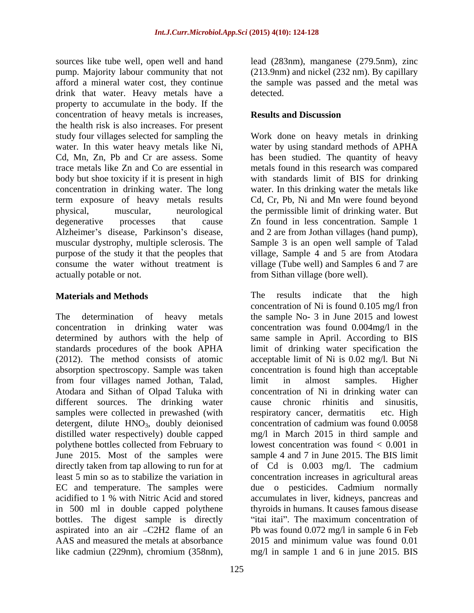sources like tube well, open well and hand lead (283nm), manganese (279.5nm), zinc pump. Majority labour community that not (213.9nm) and nickel (232 nm). By capillary afford a mineral water cost, they continue the sample was passed and the metal was drink that water. Heavy metals have a detected. property to accumulate in the body. If the concentration of heavy metals is increases, **Results and Discussion** the health risk is also increases. For present study four villages selected for sampling the Work done on heavy metals in drinking water. In this water heavy metals like Ni, water by using standard methods of APHA Cd, Mn, Zn, Pb and Cr are assess. Some has been studied. The quantity of heavy trace metals like Zn and Co are essential in metals found in this research was compared body but shoe toxicity if it is present in high with standards limit of BIS for drinking concentration in drinking water. The long term exposure of heavy metals results physical, muscular, neurological the permissible limit of drinking water. But degenerative processes that cause Zn found in less concentration. Sample 1 Alzheimer's disease, Parkinson's disease, and 2 are from Jothan villages (hand pump), muscular dystrophy, multiple sclerosis. The Sample 3 is an open well sample of Talad purpose of the study it that the peoples that village, Sample 4 and 5 are from Atodara consume the water without treatment is village (Tube well) and Samples 6 and 7 are

absorption spectroscopy. Sample was taken from four villages named Jothan, Talad, Atodara and Sithan of Olpad Taluka with different sources. The drinking water cause chronic rhinitis and sinusitis. samples were collected in prewashed (with respiratory cancer, dermatitis etc. High detergent, dilute  $HNO<sub>3</sub>$ , doubly deionised distilled water respectively) double capped polythene bottles collected from February to June 2015. Most of the samples were in 500 ml in double capped polythene bottles. The digest sample is directly like cadmiun (229nm), chromium (358nm),

detected.

## **Results and Discussion**

actually potable or not. from Sithan village (bore well). water. In this drinking water the metals like Cd, Cr, Pb, Ni and Mn were found beyond

**Materials and Methods** The determination of heavy metals the sample No- 3 in June 2015 and lowest concentration in drinking water was concentration was found 0.004mg/l in the determined by authors with the help of same sample in April. According to BIS standards procedures of the book APHA limit of drinking water specification the (2012). The method consists of atomic acceptable limit of Ni is 0.02 mg/l. But Ni directly taken from tap allowing to run for at of Cd is 0.003 mg/l. The cadmium least 5 min so as to stabilize the variation in concentration increases in agricultural areas EC and temperature. The samples were due o pesticides. Cadmium normally acidified to 1 % with Nitric Acid and stored accumulates in liver, kidneys, pancreas and aspirated into an air C2H2 flame of an Pb was found 0.072 mg/l in sample 6 in Feb AAS and measured the metals at absorbance 2015 and minimum value was found 0.01 The results indicate that the high concentration of Ni is found 0.105 mg/l fron concentration is found high than acceptable limit in almost samples. Higher concentration of Ni in drinking water can cause chronic rhinitis and sinusitis, respiratory cancer, dermatitis concentration of cadmium was found 0.0058 mg/l in March 2015 in third sample and lowest concentration was found  $\lt$  0.001 in sample 4 and 7 in June 2015. The BIS limit thyroids in humans. It causes famous disease "itai itai". The maximum concentration of mg/l in sample 1 and 6 in june 2015. BIS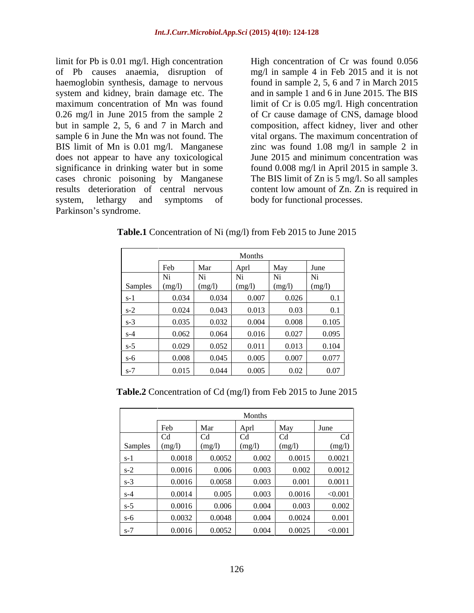limit for Pb is 0.01 mg/l. High concentration is entitled by High concentration of Cr was found 0.056 of Pb causes anaemia, disruption of mg/l in sample 4 in Feb 2015 and it is not haemoglobin synthesis, damage to nervous system and kidney, brain damage etc. The and in sample 1 and 6 in June 2015. The BIS maximum concentration of Mn was found limit of Cr is 0.05 mg/l. High concentration 0.26 mg/l in June 2015 from the sample 2 but in sample 2, 5, 6 and 7 in March and composition, affect kidney, liver and other sample 6 in June the Mn was not found. The vital organs. The maximum concentration of BIS limit of Mn is 0.01 mg/l. Manganese zinc was found 1.08 mg/l in sample 2 in does not appear to have any toxicological June 2015 and minimum concentration was significance in drinking water but in some found 0.008 mg/l in April 2015 in sample 3. cases chronic poisoning by Manganese The BIS limit of Zn is 5 mg/l. So all samples results deterioration of central nervous content low amount of Zn. Zn is required in system, lethargy and symptoms of body for functional processes. limit for Pb is 0.01 mg/l. High concentration of mg/l in sample 4 in Feb 2015 and it is not of the haemoglobin synthesis, damage to nervous found in sample 2, 5, 6 and 7 in March 2015 bin sample 2, 5, 6 and 7 in March 2015

found in sample 2, 5, 6 and 7 in March 2015 of Cr cause damage of CNS, damage blood

Months and the second second second second second second second second second second second second second second second second second second second second second second second second second second second second second seco Feb Mar Aprl May June Samples  $\left( \text{ (mg/l)} \right)$   $\left( \text{ (mg/l)} \right)$   $\left( \text{ (mg/l)} \right)$   $\left( \text{ (mg/l)} \right)$ Ni  $(mg/1)$   $(mg/1)$   $(mg/1)$   $(mg/1)$   $(mg/1)$   $(mg/1)$ Ni  $(mg/l)$   $(mg/l)$   $(mg/l)$   $(mg/l)$ Ni  $(mg/l)$   $(mg/l)$   $(mg/l)$ Ni  $(mg/l)$   $(mg/l)$ Ni  $(mg/l)$ s-1  $\begin{bmatrix} 0.034 & 0.034 & 0.007 & 0.026 & 0.1 \end{bmatrix}$ s-2  $\begin{array}{|c|c|c|c|c|c|c|c|c|} \hline 0.024 & 0.043 & 0.013 & 0.03 & 0.1 \ \hline \end{array}$ s-3  $\begin{array}{|c|c|c|c|c|c|c|c|c|} \hline 0.035 & 0.032 & 0.004 & 0.008 & 0.105 \hline \end{array}$  $s-4$  | 0.062 | 0.064 | 0.016 | 0.027 | 0.095 | s-5  $\begin{bmatrix} 0.029 & 0.052 & 0.011 & 0.013 & 0.104 \end{bmatrix}$ s-6 0.008 0.045 0.005 0.007 0.077 s-7  $\begin{array}{|c|c|c|c|c|c|c|c|c|} \hline 0.015 & 0.044 & 0.005 & 0.02 & 0.07 \ \hline \end{array}$ 

**Table.1** Concentration of Ni (mg/l) from Feb 2015 to June 2015

**Table.2** Concentration of Cd (mg/l) from Feb 2015 to June 2015

|         |        | Months |        |          |         |
|---------|--------|--------|--------|----------|---------|
|         | Feb    | Mar    | Aprl   | May      | June    |
|         | Cd     | Cd     | Cd     | $\sim$ 1 | Cd      |
| Samples | (mg/l) | (mg/l) | (mg/l) | (mg/l)   | (mg/l)  |
| – S- 1  | 0.0018 | 0.0052 | 0.002  | 0.0015   | 0.0021  |
| $s-2$   | 0.0016 | 0.006  | 0.003  | 0.002    | 0.0012  |
| $s-3$   | 0.0016 | 0.0058 | 0.003  | 0.001    | 0.0011  |
| $s-4$   | 0.0014 | 0.005  | 0.003  | 0.0016   | < 0.001 |
| $s-5$   | 0.0016 | 0.006  | 0.004  | 0.003    | 0.002   |
| $s-6$   | 0.0032 | 0.0048 | 0.004  | 0.0024   | 0.001   |
| $s-7$   | 0.0016 | 0.0052 | 0.004  | 0.0025   | < 0.001 |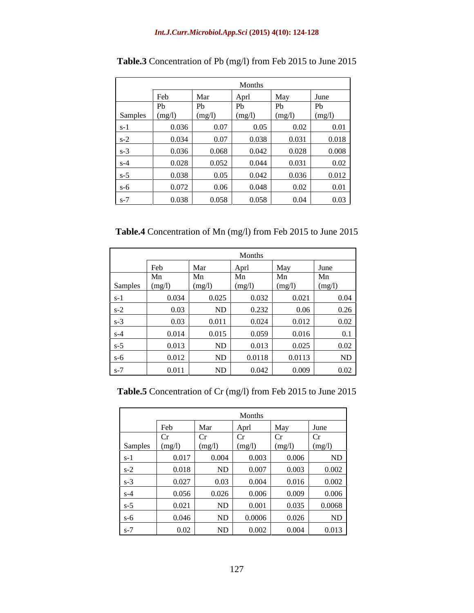|         | Months    |        |        |        |           |
|---------|-----------|--------|--------|--------|-----------|
|         | Feb       | Mar    | Apr    | May    | June      |
|         | Pb        | Pb     | Pb     | Pb     | Pb        |
| Samples | $\log(1)$ | (mg/l) | (mg/l) | (mg/l) | (mg/l)    |
| $S-1$   | 0.036     | 0.07   | 0.05   | 0.02   | 0.01      |
| $s-2$   | 0.034     | 0.07   | 0.038  | 0.031  | 0.018     |
| $s-3$   | 0.036     | 0.068  | 0.042  | 0.028  | $0.008\,$ |
| $s-4$   | 0.028     | 0.052  | 0.044  | 0.031  | 0.02      |
| $s-5$   | 0.038     | 0.05   | 0.042  | 0.036  | 0.012     |
| $s-6$   | 0.072     | 0.06   | 0.048  | 0.02   | 0.01      |
| $s-7$   | 0.038     | 0.058  | 0.058  | 0.04   | 0.03      |

**Table.3** Concentration of Pb (mg/l) from Feb 2015 to June 2015

**Table.4** Concentration of Mn (mg/l) from Feb 2015 to June 2015

|                | Months |                 |        |        |        |
|----------------|--------|-----------------|--------|--------|--------|
|                | Feb    | Mar             | Aprl   | May    | June   |
|                | Mn     | Mn              | Mn     | Mn     | Mn     |
| Samples (mg/l) |        | $\text{(mg/l)}$ | (mg/l) | (mg/l) | (mg/l) |
|                | 0.034  | 0.025           | 0.032  | 0.021  | 0.04   |
| $S-Z$          | 0.03   | ND              | 0.232  | 0.06   | 0.26   |
| $S - 3$        | 0.03   | 0.011           | 0.024  | 0.012  | 0.02   |
| $s-4$          | 0.014  | 0.015           | 0.059  | 0.016  | 0.1    |
| S-D            | 0.013  | ND              | 0.013  | 0.025  | 0.02   |
| $S-6$          | 0.012  | ND              | 0.0118 | 0.0113 | ND     |
| $S^-$          | 0.011  | ND              | 0.042  | 0.009  | 0.02   |

**Table.5** Concentration of Cr (mg/l) from Feb 2015 to June 2015

|                                        |       |        | Months |           |        |
|----------------------------------------|-------|--------|--------|-----------|--------|
|                                        | Feb   | Mar    | Apr    | May       | June   |
|                                        |       | Cr     | Cr     | <b>Cr</b> | $ $ Cr |
| Samples                                |       | (mg/I) | (mg/l) | (mg/l)    | (mg/l) |
| $s-1$                                  | 0.017 | 0.004  | 0.003  | 0.006     | ND     |
| $s-2$                                  | 0.018 | ND     | 0.007  | 0.003     | 0.002  |
| $S-3$                                  | 0.027 | 0.03   | 0.004  | 0.016     | 0.002  |
| $S-4$                                  | 0.056 | 0.026  | 0.006  | 0.009     | 0.006  |
| the control of the control of<br>$s-5$ | 0.021 | ND     | 0.001  | 0.035     | 0.0068 |
| $s-6$                                  | 0.046 | ND     | 0.0006 | 0.026     | ND     |
| $S-1$                                  | 0.02  | ND     | 0.002  | 0.004     | 0.013  |